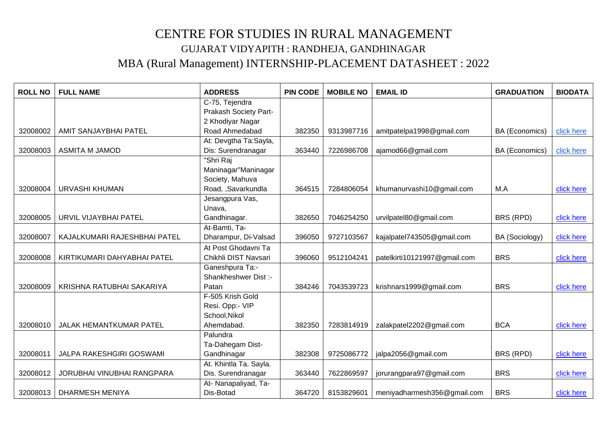## CENTRE FOR STUDIES IN RURAL MANAGEMENT GUJARAT VIDYAPITH : RANDHEJA, GANDHINAGAR MBA (Rural Management) INTERNSHIP-PLACEMENT DATASHEET : 2022

| <b>ROLL NO</b> | <b>FULL NAME</b>             | <b>ADDRESS</b>         | <b>PIN CODE</b> | <b>MOBILE NO</b> | <b>EMAIL ID</b>              | <b>GRADUATION</b> | <b>BIODATA</b> |
|----------------|------------------------------|------------------------|-----------------|------------------|------------------------------|-------------------|----------------|
|                |                              | C-75, Tejendra         |                 |                  |                              |                   |                |
|                |                              | Prakash Society Part-  |                 |                  |                              |                   |                |
|                |                              | 2 Khodiyar Nagar       |                 |                  |                              |                   |                |
| 32008002       | AMIT SANJAYBHAI PATEL        | Road Ahmedabad         | 382350          | 9313987716       | amitpatelpa1998@gmail.com    | BA (Economics)    | click here     |
|                |                              | At: Devgtha Ta:Sayla,  |                 |                  |                              |                   |                |
| 32008003       | <b>ASMITA M JAMOD</b>        | Dis: Surendranagar     | 363440          | 7226986708       | ajamod66@gmail.com           | BA (Economics)    | click here     |
|                |                              | "Shri Raj              |                 |                  |                              |                   |                |
|                |                              | Maninagar"Maninagar    |                 |                  |                              |                   |                |
|                |                              | Society, Mahuva        |                 |                  |                              |                   |                |
| 32008004       | <b>URVASHI KHUMAN</b>        | Road, ,Savarkundla     | 364515          | 7284806054       | khumanurvashi10@gmail.com    | M.A               | click here     |
|                |                              | Jesangpura Vas,        |                 |                  |                              |                   |                |
|                |                              | Unava,                 |                 |                  |                              |                   |                |
| 32008005       | URVIL VIJAYBHAI PATEL        | Gandhinagar.           | 382650          | 7046254250       | urvilpatel80@gmail.com       | BRS (RPD)         | click here     |
|                |                              | At-Bamti, Ta-          |                 |                  |                              |                   |                |
| 32008007       | KAJALKUMARI RAJESHBHAI PATEL | Dharampur, Di-Valsad   | 396050          | 9727103567       | kajalpatel743505@gmail.com   | BA (Sociology)    | click here     |
|                |                              | At Post Ghodavni Ta    |                 |                  |                              |                   |                |
| 32008008       | KIRTIKUMARI DAHYABHAI PATEL  | Chikhli DIST Navsari   | 396060          | 9512104241       | patelkirti10121997@gmail.com | <b>BRS</b>        | click here     |
|                |                              | Ganeshpura Ta:-        |                 |                  |                              |                   |                |
|                |                              | Shankheshwer Dist :-   |                 |                  |                              |                   |                |
| 32008009       | KRISHNA RATUBHAI SAKARIYA    | Patan                  | 384246          | 7043539723       | krishnars1999@gmail.com      | <b>BRS</b>        | click here     |
|                |                              | F-505 Krish Gold       |                 |                  |                              |                   |                |
|                |                              | Resi. Opp:- VIP        |                 |                  |                              |                   |                |
|                |                              | School, Nikol          |                 |                  |                              |                   |                |
| 32008010       | JALAK HEMANTKUMAR PATEL      | Ahemdabad.             | 382350          | 7283814919       | zalakpatel2202@gmail.com     | <b>BCA</b>        | click here     |
|                |                              | Palundra               |                 |                  |                              |                   |                |
|                |                              | Ta-Dahegam Dist-       |                 |                  |                              |                   |                |
| 32008011       | JALPA RAKESHGIRI GOSWAMI     | Gandhinagar            | 382308          | 9725086772       | jalpa2056@gmail.com          | BRS (RPD)         | click here     |
|                |                              | At. Khintla Ta. Sayla. |                 |                  |                              |                   |                |
| 32008012       | JORUBHAI VINUBHAI RANGPARA   | Dis. Surendranagar     | 363440          | 7622869597       | jorurangpara97@gmail.com     | <b>BRS</b>        | click here     |
|                |                              | At- Nanapaliyad, Ta-   |                 |                  |                              |                   |                |
| 32008013       | <b>DHARMESH MENIYA</b>       | Dis-Botad              | 364720          | 8153829601       | meniyadharmesh356@gmail.com  | <b>BRS</b>        | click here     |